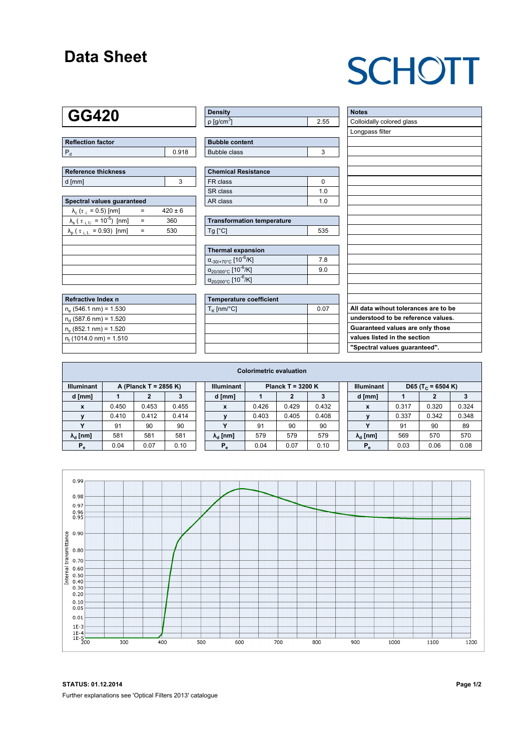### **Data Sheet**

# **SCHOTT**

### **GG420**

| Reflection factor |       |  |  |  |  |
|-------------------|-------|--|--|--|--|
|                   | 0.918 |  |  |  |  |

| <b>Reference thickness</b> |  |
|----------------------------|--|
| d [mm]                     |  |

| Spectral values quaranteed                                     |     |             |  |  |  |  |  |  |  |
|----------------------------------------------------------------|-----|-------------|--|--|--|--|--|--|--|
| $\lambda_c$ ( $\tau_i$ = 0.5) [nm]                             |     | $420 \pm 6$ |  |  |  |  |  |  |  |
| $\lambda_{\rm s}$ ( $\tau_{\rm i,U}$ = 10 <sup>-5</sup> ) [nm] | $=$ | 360         |  |  |  |  |  |  |  |
| $\lambda_{\rm p}$ ( $\tau_{\rm i, L}$ = 0.93) [nm]             |     | 530         |  |  |  |  |  |  |  |
|                                                                |     |             |  |  |  |  |  |  |  |
|                                                                |     |             |  |  |  |  |  |  |  |
|                                                                |     |             |  |  |  |  |  |  |  |
|                                                                |     |             |  |  |  |  |  |  |  |
|                                                                |     |             |  |  |  |  |  |  |  |

| Refractive Index n              |  |
|---------------------------------|--|
| $n_e$ (546.1 nm) = 1.530        |  |
| $n_{d}$ (587.6 nm) = 1.520      |  |
| $n_s$ (852.1 nm) = 1.520        |  |
| $n_{\rm t}$ (1014.0 nm) = 1.510 |  |
|                                 |  |

| <b>Density</b>              |  |
|-----------------------------|--|
| $\rho$ [g/cm <sup>3</sup> ] |  |

| <b>Bubble content</b> |  |
|-----------------------|--|
| Bubble class          |  |

| Chemical Resistance |     |  |  |  |  |  |
|---------------------|-----|--|--|--|--|--|
| FR class            |     |  |  |  |  |  |
| SR class            | 1 በ |  |  |  |  |  |
| l AR class          | 1 በ |  |  |  |  |  |

| <b>Transformation temperature</b> |     |  |  |  |  |
|-----------------------------------|-----|--|--|--|--|
| $Ta$ $C1$                         | 535 |  |  |  |  |

| Thermal expansion                                 |     |
|---------------------------------------------------|-----|
| $\alpha_{.30/+70\degree}$ C [10 <sup>-6</sup> /K] | 78  |
| $\alpha_{20/300^{\circ}C}$ [10 <sup>-6</sup> /K]  | 9.0 |
| $\alpha_{20/200^{\circ}C}$ [10 <sup>-6</sup> /K]  |     |

| Temperature coefficient |      |  |  |  |  |  |
|-------------------------|------|--|--|--|--|--|
| $T_{\rm K}$ [nm/°C]     | 0.07 |  |  |  |  |  |
|                         |      |  |  |  |  |  |
|                         |      |  |  |  |  |  |
|                         |      |  |  |  |  |  |
|                         |      |  |  |  |  |  |

| <b>Notes</b>                         |
|--------------------------------------|
| Colloidally colored glass            |
| Longpass filter                      |
|                                      |
|                                      |
|                                      |
|                                      |
|                                      |
|                                      |
|                                      |
|                                      |
|                                      |
|                                      |
|                                      |
|                                      |
|                                      |
|                                      |
|                                      |
|                                      |
|                                      |
| All data wihout tolerances are to be |
| understood to be reference values.   |
| Guaranteed values are only those     |
| values listed in the section         |
| "Spectral values guaranteed".        |

| <b>Colorimetric evaluation</b>             |       |       |       |                                          |                          |       |       |       |                   |                        |                               |       |       |
|--------------------------------------------|-------|-------|-------|------------------------------------------|--------------------------|-------|-------|-------|-------------------|------------------------|-------------------------------|-------|-------|
| <b>Illuminant</b><br>A (Planck T = 2856 K) |       |       |       | <b>Illuminant</b><br>Planck T = $3200 K$ |                          |       |       |       | <b>Illuminant</b> |                        | D65 (T <sub>c</sub> = 6504 K) |       |       |
| d [mm]                                     |       |       |       |                                          | d [mm]                   |       |       | 3     |                   | d [mm]                 |                               | 2     |       |
| X                                          | 0.450 | 0.453 | 0.455 |                                          | x                        | 0.426 | 0.429 | 0.432 |                   | X                      | 0.317                         | 0.320 | 0.324 |
| $\mathbf{v}$                               | 0.410 | 0.412 | 0.414 |                                          |                          | 0.403 | 0.405 | 0.408 |                   | $\mathbf{v}$           | 0.337                         | 0.342 | 0.348 |
|                                            | 91    | 90    | 90    |                                          | $\overline{\phantom{a}}$ | 91    | 90    | 90    |                   | $\cdot$                | 91                            | 90    | 89    |
| $\lambda_{\rm d}$ [nm]                     | 581   | 581   | 581   |                                          | $\lambda_{\rm d}$ [nm]   | 579   | 579   | 579   |                   | $\lambda_{\rm d}$ [nm] | 569                           | 570   | 570   |
| $P_e$                                      | 0.04  | 0.07  | 0.10  |                                          | $P_{\alpha}$             | 0.04  | 0.07  | 0.10  |                   | $P_{\alpha}$           | 0.03                          | 0.06  | 0.08  |
|                                            |       |       |       |                                          |                          |       |       |       |                   |                        |                               |       |       |



**STATUS: 01.12.2014 Page 1/2** Further explanations see 'Optical Filters 2013' catalogue